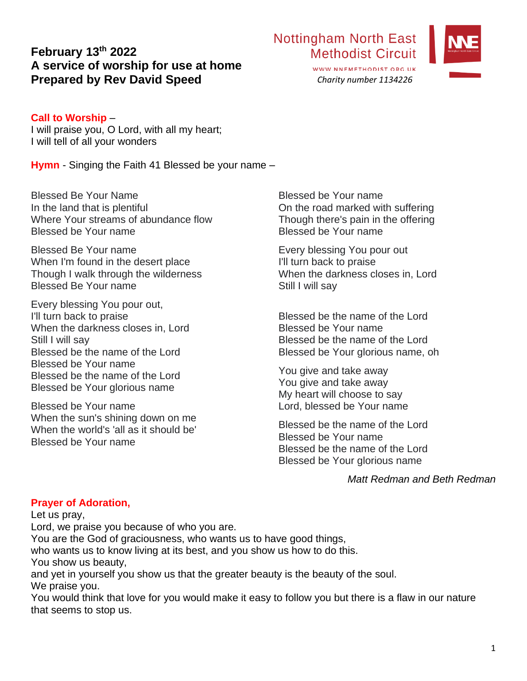# **February 13th 2022 A service of worship for use at home Prepared by Rev David Speed**

### **Call to Worship** –

I will praise you, O Lord, with all my heart; I will tell of all your wonders

**Hymn** - Singing the Faith 41 Blessed be your name –

Blessed Be Your Name In the land that is plentiful Where Your streams of abundance flow Blessed be Your name

Blessed Be Your name When I'm found in the desert place Though I walk through the wilderness Blessed Be Your name

Every blessing You pour out, I'll turn back to praise When the darkness closes in, Lord Still I will sav Blessed be the name of the Lord Blessed be Your name Blessed be the name of the Lord Blessed be Your glorious name

Blessed be Your name When the sun's shining down on me When the world's 'all as it should be' Blessed be Your name

Blessed be Your name On the road marked with suffering Though there's pain in the offering Blessed be Your name

Every blessing You pour out I'll turn back to praise When the darkness closes in, Lord Still I will sav

Blessed be the name of the Lord Blessed be Your name Blessed be the name of the Lord Blessed be Your glorious name, oh

You give and take away You give and take away My heart will choose to say Lord, blessed be Your name

Blessed be the name of the Lord Blessed be Your name Blessed be the name of the Lord Blessed be Your glorious name

*Matt Redman and Beth Redman*

### **Prayer of Adoration,**

Let us pray,

Lord, we praise you because of who you are.

You are the God of graciousness, who wants us to have good things,

who wants us to know living at its best, and you show us how to do this.

You show us beauty,

and yet in yourself you show us that the greater beauty is the beauty of the soul. We praise you.

You would think that love for you would make it easy to follow you but there is a flaw in our nature that seems to stop us.



WWW.NNEMETHODIST.ORG.UK *Charity number 1134226*

**Methodist Circuit** 

**Nottingham North East**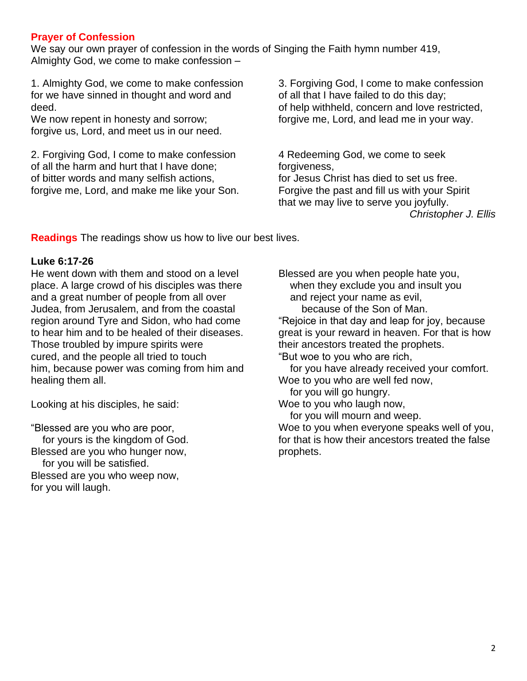### **Prayer of Confession**

We say our own prayer of confession in the words of Singing the Faith hymn number 419, Almighty God, we come to make confession –

1. Almighty God, we come to make confession for we have sinned in thought and word and deed.

We now repent in honesty and sorrow; forgive us, Lord, and meet us in our need.

2. Forgiving God, I come to make confession of all the harm and hurt that I have done; of bitter words and many selfish actions, forgive me, Lord, and make me like your Son.

3. Forgiving God, I come to make confession of all that I have failed to do this day; of help withheld, concern and love restricted, forgive me, Lord, and lead me in your way.

4 Redeeming God, we come to seek forgiveness. for Jesus Christ has died to set us free. Forgive the past and fill us with your Spirit that we may live to serve you joyfully. *Christopher J. Ellis*

**Readings** The readings show us how to live our best lives.

#### **Luke 6:17-26**

He went down with them and stood on a level place. A large crowd of his disciples was there and a great number of people from all over Judea, from Jerusalem, and from the coastal region around Tyre and Sidon, who had come to hear him and to be healed of their diseases. Those troubled by impure spirits were cured, and the people all tried to touch him, because power was coming from him and healing them all.

Looking at his disciples, he said:

"Blessed are you who are poor, for yours is the kingdom of God. Blessed are you who hunger now, for you will be satisfied. Blessed are you who weep now, for you will laugh.

Blessed are you when people hate you, when they exclude you and insult you and reject your name as evil, because of the Son of Man.

"Rejoice in that day and leap for joy, because great is your reward in heaven. For that is how their ancestors treated the prophets. "But woe to you who are rich,

for you have already received your comfort.

Woe to you who are well fed now,

for you will go hungry.

Woe to you who laugh now,

for you will mourn and weep.

Woe to you when everyone speaks well of you, for that is how their ancestors treated the false prophets.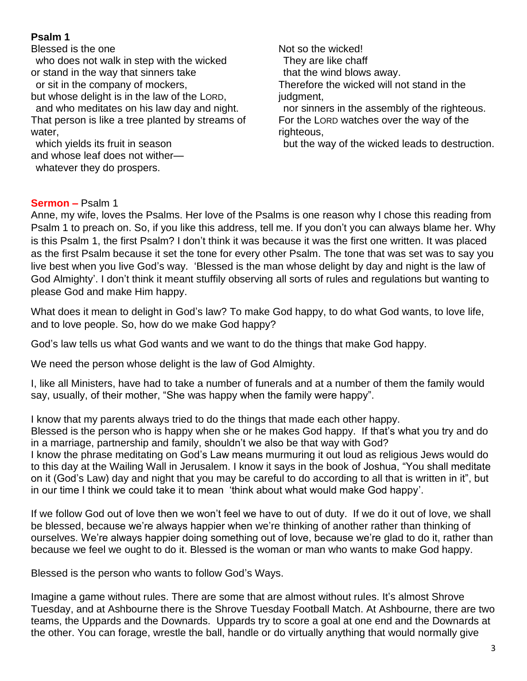## **Psalm 1**

Blessed is the one

 who does not walk in step with the wicked or stand in the way that sinners take or sit in the company of mockers,

but whose delight is in the law of the LORD, and who meditates on his law day and night. That person is like a tree planted by streams of water,

 which yields its fruit in season and whose leaf does not wither whatever they do prospers.

Not so the wicked! They are like chaff that the wind blows away. Therefore the wicked will not stand in the judgment. nor sinners in the assembly of the righteous. For the LORD watches over the way of the righteous,

but the way of the wicked leads to destruction.

### **Sermon –** Psalm 1

Anne, my wife, loves the Psalms. Her love of the Psalms is one reason why I chose this reading from Psalm 1 to preach on. So, if you like this address, tell me. If you don't you can always blame her. Why is this Psalm 1, the first Psalm? I don't think it was because it was the first one written. It was placed as the first Psalm because it set the tone for every other Psalm. The tone that was set was to say you live best when you live God's way. 'Blessed is the man whose delight by day and night is the law of God Almighty'. I don't think it meant stuffily observing all sorts of rules and regulations but wanting to please God and make Him happy.

What does it mean to delight in God's law? To make God happy, to do what God wants, to love life, and to love people. So, how do we make God happy?

God's law tells us what God wants and we want to do the things that make God happy.

We need the person whose delight is the law of God Almighty.

I, like all Ministers, have had to take a number of funerals and at a number of them the family would say, usually, of their mother, "She was happy when the family were happy".

I know that my parents always tried to do the things that made each other happy. Blessed is the person who is happy when she or he makes God happy. If that's what you try and do in a marriage, partnership and family, shouldn't we also be that way with God?

I know the phrase meditating on God's Law means murmuring it out loud as religious Jews would do to this day at the Wailing Wall in Jerusalem. I know it says in the book of Joshua, "You shall meditate on it (God's Law) day and night that you may be careful to do according to all that is written in it", but in our time I think we could take it to mean 'think about what would make God happy'.

If we follow God out of love then we won't feel we have to out of duty. If we do it out of love, we shall be blessed, because we're always happier when we're thinking of another rather than thinking of ourselves. We're always happier doing something out of love, because we're glad to do it, rather than because we feel we ought to do it. Blessed is the woman or man who wants to make God happy.

Blessed is the person who wants to follow God's Ways.

Imagine a game without rules. There are some that are almost without rules. It's almost Shrove Tuesday, and at Ashbourne there is the Shrove Tuesday Football Match. At Ashbourne, there are two teams, the Uppards and the Downards. Uppards try to score a goal at one end and the Downards at the other. You can forage, wrestle the ball, handle or do virtually anything that would normally give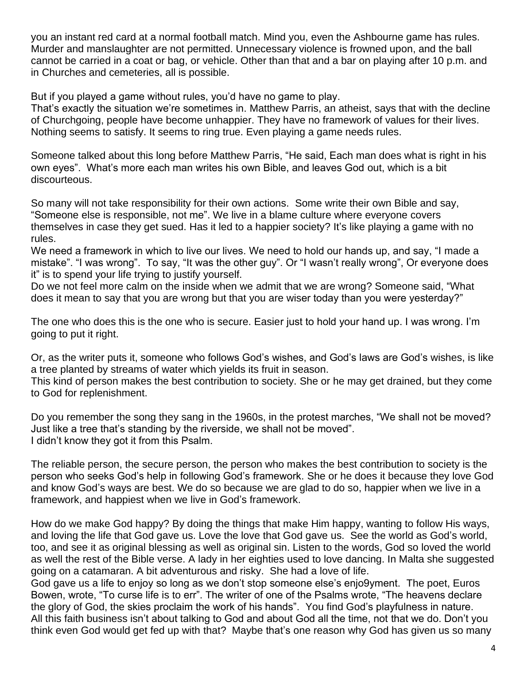you an instant red card at a normal football match. Mind you, even the Ashbourne game has rules. Murder and manslaughter are not permitted. Unnecessary violence is frowned upon, and the ball cannot be carried in a coat or bag, or vehicle. Other than that and a bar on playing after 10 p.m. and in Churches and cemeteries, all is possible.

But if you played a game without rules, you'd have no game to play.

That's exactly the situation we're sometimes in. Matthew Parris, an atheist, says that with the decline of Churchgoing, people have become unhappier. They have no framework of values for their lives. Nothing seems to satisfy. It seems to ring true. Even playing a game needs rules.

Someone talked about this long before Matthew Parris, "He said, Each man does what is right in his own eyes". What's more each man writes his own Bible, and leaves God out, which is a bit discourteous.

So many will not take responsibility for their own actions. Some write their own Bible and say, "Someone else is responsible, not me". We live in a blame culture where everyone covers themselves in case they get sued. Has it led to a happier society? It's like playing a game with no rules.

We need a framework in which to live our lives. We need to hold our hands up, and say, "I made a mistake". "I was wrong". To say, "It was the other guy". Or "I wasn't really wrong", Or everyone does it" is to spend your life trying to justify yourself.

Do we not feel more calm on the inside when we admit that we are wrong? Someone said, "What does it mean to say that you are wrong but that you are wiser today than you were yesterday?"

The one who does this is the one who is secure. Easier just to hold your hand up. I was wrong. I'm going to put it right.

Or, as the writer puts it, someone who follows God's wishes, and God's laws are God's wishes, is like a tree planted by streams of water which yields its fruit in season.

This kind of person makes the best contribution to society. She or he may get drained, but they come to God for replenishment.

Do you remember the song they sang in the 1960s, in the protest marches, "We shall not be moved? Just like a tree that's standing by the riverside, we shall not be moved". I didn't know they got it from this Psalm.

The reliable person, the secure person, the person who makes the best contribution to society is the person who seeks God's help in following God's framework. She or he does it because they love God and know God's ways are best. We do so because we are glad to do so, happier when we live in a framework, and happiest when we live in God's framework.

How do we make God happy? By doing the things that make Him happy, wanting to follow His ways, and loving the life that God gave us. Love the love that God gave us. See the world as God's world, too, and see it as original blessing as well as original sin. Listen to the words, God so loved the world as well the rest of the Bible verse. A lady in her eighties used to love dancing. In Malta she suggested going on a catamaran. A bit adventurous and risky. She had a love of life.

God gave us a life to enjoy so long as we don't stop someone else's enjo9yment. The poet, Euros Bowen, wrote, "To curse life is to err". The writer of one of the Psalms wrote, "The heavens declare the glory of God, the skies proclaim the work of his hands". You find God's playfulness in nature. All this faith business isn't about talking to God and about God all the time, not that we do. Don't you think even God would get fed up with that? Maybe that's one reason why God has given us so many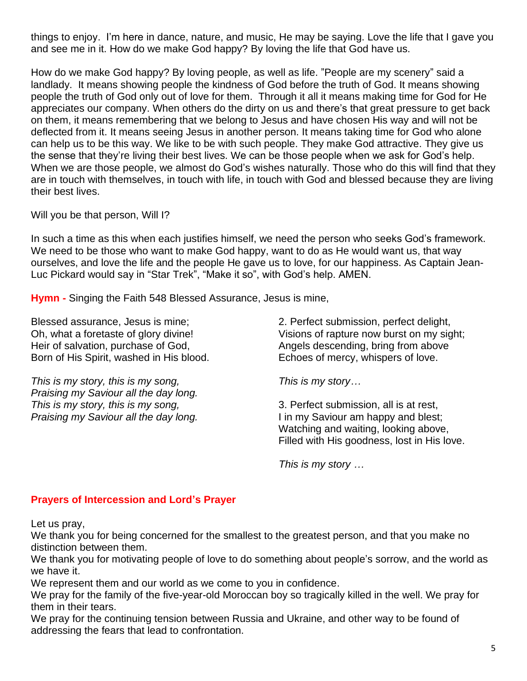things to enjoy. I'm here in dance, nature, and music, He may be saying. Love the life that I gave you and see me in it. How do we make God happy? By loving the life that God have us.

How do we make God happy? By loving people, as well as life. "People are my scenery" said a landlady. It means showing people the kindness of God before the truth of God. It means showing people the truth of God only out of love for them. Through it all it means making time for God for He appreciates our company. When others do the dirty on us and there's that great pressure to get back on them, it means remembering that we belong to Jesus and have chosen His way and will not be deflected from it. It means seeing Jesus in another person. It means taking time for God who alone can help us to be this way. We like to be with such people. They make God attractive. They give us the sense that they're living their best lives. We can be those people when we ask for God's help. When we are those people, we almost do God's wishes naturally. Those who do this will find that they are in touch with themselves, in touch with life, in touch with God and blessed because they are living their best lives.

Will you be that person, Will I?

In such a time as this when each justifies himself, we need the person who seeks God's framework. We need to be those who want to make God happy, want to do as He would want us, that way ourselves, and love the life and the people He gave us to love, for our happiness. As Captain Jean-Luc Pickard would say in "Star Trek", "Make it so", with God's help. AMEN.

**Hymn -** Singing the Faith 548 Blessed Assurance, Jesus is mine,

Blessed assurance, Jesus is mine; Oh, what a foretaste of glory divine! Heir of salvation, purchase of God, Born of His Spirit, washed in His blood.

*This is my story, this is my song, Praising my Saviour all the day long. This is my story, this is my song, Praising my Saviour all the day long.*

2. Perfect submission, perfect delight, Visions of rapture now burst on my sight; Angels descending, bring from above Echoes of mercy, whispers of love.

*This is my story…*

3. Perfect submission, all is at rest, I in my Saviour am happy and blest; Watching and waiting, looking above, Filled with His goodness, lost in His love.

*This is my story …*

### **Prayers of Intercession and Lord's Prayer**

Let us pray,

We thank you for being concerned for the smallest to the greatest person, and that you make no distinction between them.

We thank you for motivating people of love to do something about people's sorrow, and the world as we have it.

We represent them and our world as we come to you in confidence.

We pray for the family of the five-year-old Moroccan boy so tragically killed in the well. We pray for them in their tears.

We pray for the continuing tension between Russia and Ukraine, and other way to be found of addressing the fears that lead to confrontation.